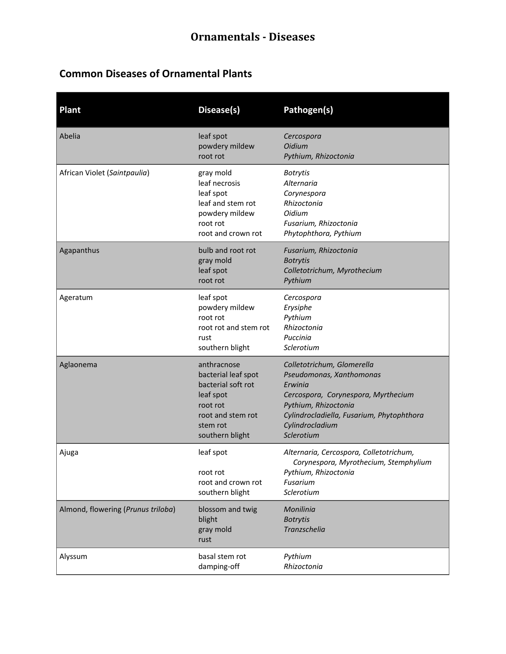#### **Common Diseases of Ornamental Plants**

| <b>Plant</b>                       | Disease(s)                                                                                                                            | Pathogen(s)                                                                                                                                                                                                    |
|------------------------------------|---------------------------------------------------------------------------------------------------------------------------------------|----------------------------------------------------------------------------------------------------------------------------------------------------------------------------------------------------------------|
| Abelia                             | leaf spot<br>powdery mildew<br>root rot                                                                                               | Cercospora<br><b>Oidium</b><br>Pythium, Rhizoctonia                                                                                                                                                            |
| African Violet (Saintpaulia)       | gray mold<br>leaf necrosis<br>leaf spot<br>leaf and stem rot<br>powdery mildew<br>root rot<br>root and crown rot                      | <b>Botrytis</b><br>Alternaria<br>Corynespora<br>Rhizoctonia<br>Oidium<br>Fusarium, Rhizoctonia<br>Phytophthora, Pythium                                                                                        |
| Agapanthus                         | bulb and root rot<br>gray mold<br>leaf spot<br>root rot                                                                               | Fusarium, Rhizoctonia<br><b>Botrytis</b><br>Colletotrichum, Myrothecium<br>Pythium                                                                                                                             |
| Ageratum                           | leaf spot<br>powdery mildew<br>root rot<br>root rot and stem rot<br>rust<br>southern blight                                           | Cercospora<br>Erysiphe<br>Pythium<br>Rhizoctonia<br>Puccinia<br>Sclerotium                                                                                                                                     |
| Aglaonema                          | anthracnose<br>bacterial leaf spot<br>bacterial soft rot<br>leaf spot<br>root rot<br>root and stem rot<br>stem rot<br>southern blight | Colletotrichum, Glomerella<br>Pseudomonas, Xanthomonas<br>Erwinia<br>Cercospora, Corynespora, Myrthecium<br>Pythium, Rhizoctonia<br>Cylindrocladiella, Fusarium, Phytophthora<br>Cylindrocladium<br>Sclerotium |
| Ajuga                              | leaf spot<br>root rot<br>root and crown rot<br>southern blight                                                                        | Alternaria, Cercospora, Colletotrichum,<br>Corynespora, Myrothecium, Stemphylium<br>Pythium, Rhizoctonia<br>Fusarium<br>Sclerotium                                                                             |
| Almond, flowering (Prunus triloba) | blossom and twig<br>blight<br>gray mold<br>rust                                                                                       | Monilinia<br><b>Botrytis</b><br>Tranzschelia                                                                                                                                                                   |
| Alyssum                            | basal stem rot<br>damping-off                                                                                                         | Pythium<br>Rhizoctonia                                                                                                                                                                                         |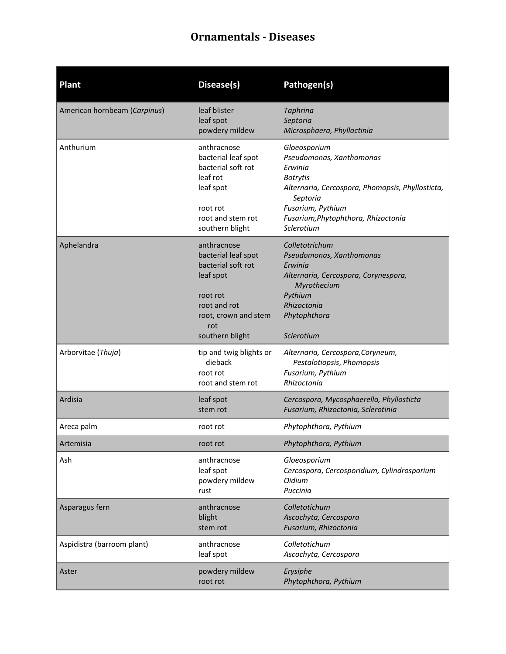| Plant                        | Disease(s)                                                                                                                                          | Pathogen(s)                                                                                                                                                                                                      |
|------------------------------|-----------------------------------------------------------------------------------------------------------------------------------------------------|------------------------------------------------------------------------------------------------------------------------------------------------------------------------------------------------------------------|
| American hornbeam (Carpinus) | leaf blister<br>leaf spot<br>powdery mildew                                                                                                         | <b>Taphrina</b><br>Septoria<br>Microsphaera, Phyllactinia                                                                                                                                                        |
| Anthurium                    | anthracnose<br>bacterial leaf spot<br>bacterial soft rot<br>leaf rot<br>leaf spot<br>root rot<br>root and stem rot<br>southern blight               | Gloeosporium<br>Pseudomonas, Xanthomonas<br>Erwinia<br><b>Botrytis</b><br>Alternaria, Cercospora, Phomopsis, Phyllosticta,<br>Septoria<br>Fusarium, Pythium<br>Fusarium, Phytophthora, Rhizoctonia<br>Sclerotium |
| Aphelandra                   | anthracnose<br>bacterial leaf spot<br>bacterial soft rot<br>leaf spot<br>root rot<br>root and rot<br>root, crown and stem<br>rot<br>southern blight | Colletotrichum<br>Pseudomonas, Xanthomonas<br>Erwinia<br>Alternaria, Cercospora, Corynespora,<br>Myrothecium<br>Pythium<br>Rhizoctonia<br>Phytophthora<br>Sclerotium                                             |
| Arborvitae (Thuja)           | tip and twig blights or<br>dieback<br>root rot<br>root and stem rot                                                                                 | Alternaria, Cercospora, Coryneum,<br>Pestalotiopsis, Phomopsis<br>Fusarium, Pythium<br>Rhizoctonia                                                                                                               |
| Ardisia                      | leaf spot                                                                                                                                           |                                                                                                                                                                                                                  |
|                              | stem rot                                                                                                                                            | Cercospora, Mycosphaerella, Phyllosticta<br>Fusarium, Rhizoctonia, Sclerotinia                                                                                                                                   |
| Areca palm                   | root rot                                                                                                                                            | Phytophthora, Pythium                                                                                                                                                                                            |
| Artemisia                    | root rot                                                                                                                                            | Phytophthora, Pythium                                                                                                                                                                                            |
| Ash                          | anthracnose<br>leaf spot<br>powdery mildew<br>rust                                                                                                  | Gloeosporium<br>Cercospora, Cercosporidium, Cylindrosporium<br><b>Oidium</b><br>Puccinia                                                                                                                         |
| Asparagus fern               | anthracnose<br>blight<br>stem rot                                                                                                                   | Colletotichum<br>Ascochyta, Cercospora<br>Fusarium, Rhizoctonia                                                                                                                                                  |
| Aspidistra (barroom plant)   | anthracnose<br>leaf spot                                                                                                                            | Colletotichum<br>Ascochyta, Cercospora                                                                                                                                                                           |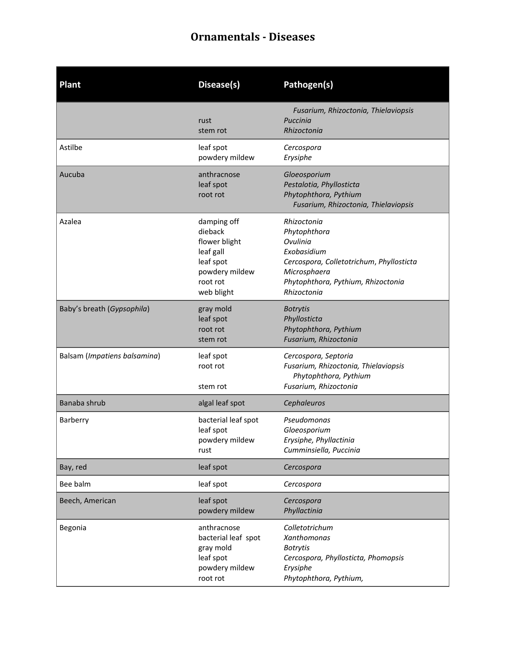| <b>Plant</b>                 | Disease(s)                                                                                                    | Pathogen(s)                                                                                                                                                             |
|------------------------------|---------------------------------------------------------------------------------------------------------------|-------------------------------------------------------------------------------------------------------------------------------------------------------------------------|
|                              | rust<br>stem rot                                                                                              | Fusarium, Rhizoctonia, Thielaviopsis<br>Puccinia<br>Rhizoctonia                                                                                                         |
| Astilbe                      | leaf spot<br>powdery mildew                                                                                   | Cercospora<br>Erysiphe                                                                                                                                                  |
| Aucuba                       | anthracnose<br>leaf spot<br>root rot                                                                          | Gloeosporium<br>Pestalotia, Phyllosticta<br>Phytophthora, Pythium<br>Fusarium, Rhizoctonia, Thielaviopsis                                                               |
| Azalea                       | damping off<br>dieback<br>flower blight<br>leaf gall<br>leaf spot<br>powdery mildew<br>root rot<br>web blight | Rhizoctonia<br>Phytophthora<br>Ovulinia<br>Exobasidium<br>Cercospora, Colletotrichum, Phyllosticta<br>Microsphaera<br>Phytophthora, Pythium, Rhizoctonia<br>Rhizoctonia |
| Baby's breath (Gypsophila)   | gray mold<br>leaf spot<br>root rot<br>stem rot                                                                | <b>Botrytis</b><br>Phyllosticta<br>Phytophthora, Pythium<br>Fusarium, Rhizoctonia                                                                                       |
| Balsam (Impatiens balsamina) | leaf spot<br>root rot<br>stem rot                                                                             | Cercospora, Septoria<br>Fusarium, Rhizoctonia, Thielaviopsis<br>Phytophthora, Pythium<br>Fusarium, Rhizoctonia                                                          |
| Banaba shrub                 | algal leaf spot                                                                                               | Cephaleuros                                                                                                                                                             |
| Barberry                     | bacterial leaf spot<br>leaf spot<br>powdery mildew<br>rust                                                    | Pseudomonas<br>Gloeosporium<br>Erysiphe, Phyllactinia<br>Cumminsiella, Puccinia                                                                                         |
| Bay, red                     | leaf spot                                                                                                     | Cercospora                                                                                                                                                              |
| Bee balm                     | leaf spot                                                                                                     | Cercospora                                                                                                                                                              |
| Beech, American              | leaf spot<br>powdery mildew                                                                                   | Cercospora<br>Phyllactinia                                                                                                                                              |
| Begonia                      | anthracnose<br>bacterial leaf spot<br>gray mold<br>leaf spot<br>powdery mildew<br>root rot                    | Colletotrichum<br>Xanthomonas<br><b>Botrytis</b><br>Cercospora, Phyllosticta, Phomopsis<br>Erysiphe<br>Phytophthora, Pythium,                                           |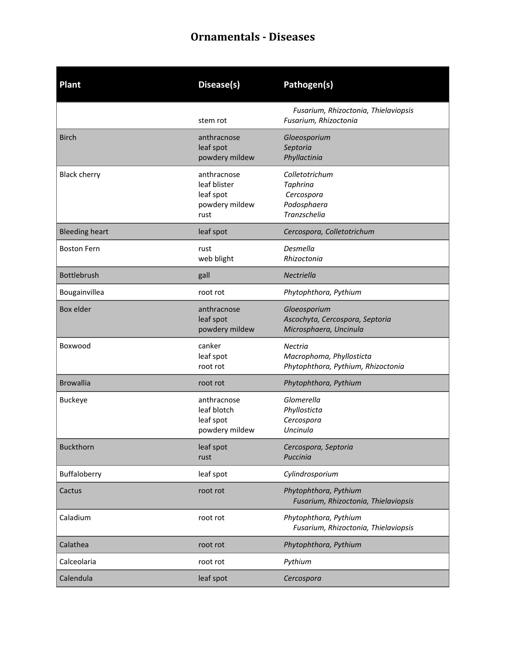| <b>Plant</b>          | Disease(s)                                                         | Pathogen(s)                                                                      |
|-----------------------|--------------------------------------------------------------------|----------------------------------------------------------------------------------|
|                       | stem rot                                                           | Fusarium, Rhizoctonia, Thielaviopsis<br>Fusarium, Rhizoctonia                    |
| <b>Birch</b>          | anthracnose<br>leaf spot<br>powdery mildew                         | Gloeosporium<br>Septoria<br>Phyllactinia                                         |
| <b>Black cherry</b>   | anthracnose<br>leaf blister<br>leaf spot<br>powdery mildew<br>rust | Colletotrichum<br>Taphrina<br>Cercospora<br>Podosphaera<br>Tranzschelia          |
| <b>Bleeding heart</b> | leaf spot                                                          | Cercospora, Colletotrichum                                                       |
| <b>Boston Fern</b>    | rust<br>web blight                                                 | Desmella<br>Rhizoctonia                                                          |
| <b>Bottlebrush</b>    | gall                                                               | Nectriella                                                                       |
| Bougainvillea         | root rot                                                           | Phytophthora, Pythium                                                            |
| Box elder             | anthracnose<br>leaf spot<br>powdery mildew                         | Gloeosporium<br>Ascochyta, Cercospora, Septoria<br>Microsphaera, Uncinula        |
| Boxwood               | canker<br>leaf spot<br>root rot                                    | <b>Nectria</b><br>Macrophoma, Phyllosticta<br>Phytophthora, Pythium, Rhizoctonia |
| <b>Browallia</b>      | root rot                                                           | Phytophthora, Pythium                                                            |
| <b>Buckeye</b>        | anthracnose<br>leaf blotch<br>leaf spot<br>powdery mildew          | Glomerella<br>Phyllosticta<br>Cercospora<br>Uncinula                             |
| Buckthorn             | leaf spot<br>rust                                                  | Cercospora, Septoria<br>Puccinia                                                 |
| Buffaloberry          | leaf spot                                                          | Cylindrosporium                                                                  |
| Cactus                | root rot                                                           | Phytophthora, Pythium<br>Fusarium, Rhizoctonia, Thielaviopsis                    |
| Caladium              | root rot                                                           | Phytophthora, Pythium<br>Fusarium, Rhizoctonia, Thielaviopsis                    |
| Calathea              | root rot                                                           | Phytophthora, Pythium                                                            |
| Calceolaria           | root rot                                                           | Pythium                                                                          |
| Calendula             | leaf spot                                                          | Cercospora                                                                       |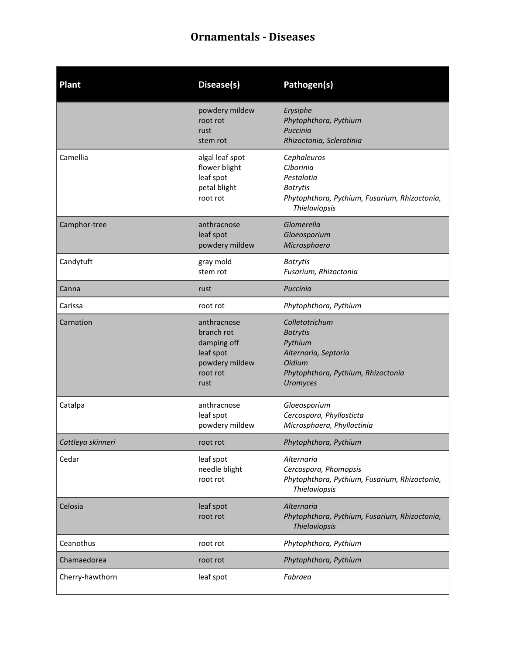| Plant             | Disease(s)                                                                                  | Pathogen(s)                                                                                                                                    |
|-------------------|---------------------------------------------------------------------------------------------|------------------------------------------------------------------------------------------------------------------------------------------------|
|                   | powdery mildew<br>root rot<br>rust<br>stem rot                                              | Erysiphe<br>Phytophthora, Pythium<br>Puccinia<br>Rhizoctonia, Sclerotinia                                                                      |
| Camellia          | algal leaf spot<br>flower blight<br>leaf spot<br>petal blight<br>root rot                   | Cephaleuros<br>Ciborinia<br>Pestalotia<br><b>Botrytis</b><br>Phytophthora, Pythium, Fusarium, Rhizoctonia,<br>Thielaviopsis                    |
| Camphor-tree      | anthracnose<br>leaf spot<br>powdery mildew                                                  | Glomerella<br>Gloeosporium<br>Microsphaera                                                                                                     |
| Candytuft         | gray mold<br>stem rot                                                                       | <b>Botrytis</b><br>Fusarium, Rhizoctonia                                                                                                       |
| Canna             | rust                                                                                        | Puccinia                                                                                                                                       |
| Carissa           | root rot                                                                                    | Phytophthora, Pythium                                                                                                                          |
| Carnation         | anthracnose<br>branch rot<br>damping off<br>leaf spot<br>powdery mildew<br>root rot<br>rust | Colletotrichum<br><b>Botrytis</b><br>Pythium<br>Alternaria, Septoria<br><b>Oidium</b><br>Phytophthora, Pythium, Rhizoctonia<br><b>Uromyces</b> |
| Catalpa           | anthracnose<br>leaf spot<br>powdery mildew                                                  | Gloeosporium<br>Cercospora, Phyllosticta<br>Microsphaera, Phyllactinia                                                                         |
| Cattleya skinneri | root rot                                                                                    | Phytophthora, Pythium                                                                                                                          |
| Cedar             | leaf spot<br>needle blight<br>root rot                                                      | Alternaria<br>Cercospora, Phomopsis<br>Phytophthora, Pythium, Fusarium, Rhizoctonia,<br>Thielaviopsis                                          |
| Celosia           | leaf spot<br>root rot                                                                       | Alternaria<br>Phytophthora, Pythium, Fusarium, Rhizoctonia,<br><b>Thielaviopsis</b>                                                            |
| Ceanothus         | root rot                                                                                    | Phytophthora, Pythium                                                                                                                          |
| Chamaedorea       | root rot                                                                                    | Phytophthora, Pythium                                                                                                                          |
| Cherry-hawthorn   | leaf spot                                                                                   | Fabraea                                                                                                                                        |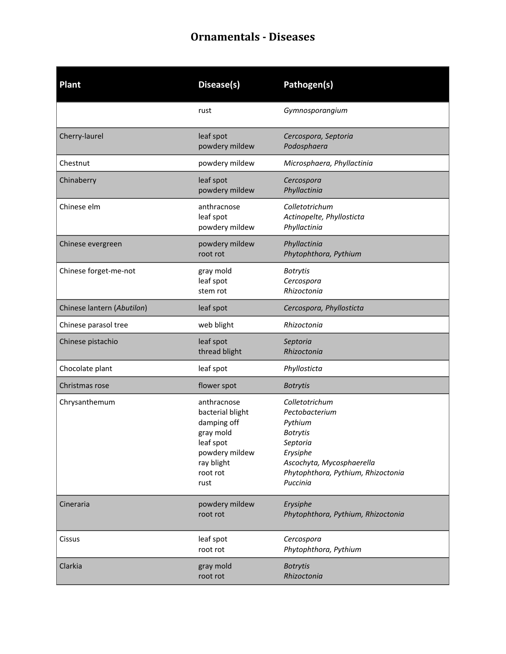| <b>Plant</b>               | Disease(s)                                                                                                                   | Pathogen(s)                                                                                                                                                           |
|----------------------------|------------------------------------------------------------------------------------------------------------------------------|-----------------------------------------------------------------------------------------------------------------------------------------------------------------------|
|                            | rust                                                                                                                         | Gymnosporangium                                                                                                                                                       |
| Cherry-laurel              | leaf spot<br>powdery mildew                                                                                                  | Cercospora, Septoria<br>Podosphaera                                                                                                                                   |
| Chestnut                   | powdery mildew                                                                                                               | Microsphaera, Phyllactinia                                                                                                                                            |
| Chinaberry                 | leaf spot<br>powdery mildew                                                                                                  | Cercospora<br>Phyllactinia                                                                                                                                            |
| Chinese elm                | anthracnose<br>leaf spot<br>powdery mildew                                                                                   | Colletotrichum<br>Actinopelte, Phyllosticta<br>Phyllactinia                                                                                                           |
| Chinese evergreen          | powdery mildew<br>root rot                                                                                                   | Phyllactinia<br>Phytophthora, Pythium                                                                                                                                 |
| Chinese forget-me-not      | gray mold<br>leaf spot<br>stem rot                                                                                           | <b>Botrytis</b><br>Cercospora<br>Rhizoctonia                                                                                                                          |
| Chinese lantern (Abutilon) | leaf spot                                                                                                                    | Cercospora, Phyllosticta                                                                                                                                              |
| Chinese parasol tree       | web blight                                                                                                                   | Rhizoctonia                                                                                                                                                           |
| Chinese pistachio          | leaf spot<br>thread blight                                                                                                   | Septoria<br>Rhizoctonia                                                                                                                                               |
| Chocolate plant            | leaf spot                                                                                                                    | Phyllosticta                                                                                                                                                          |
| Christmas rose             | flower spot                                                                                                                  | <b>Botrytis</b>                                                                                                                                                       |
| Chrysanthemum              | anthracnose<br>bacterial blight<br>damping off<br>gray mold<br>leaf spot<br>powdery mildew<br>ray blight<br>root rot<br>rust | Colletotrichum<br>Pectobacterium<br>Pythium<br><b>Botrytis</b><br>Septoria<br>Erysiphe<br>Ascochyta, Mycosphaerella<br>Phytophthora, Pythium, Rhizoctonia<br>Puccinia |
| Cineraria                  | powdery mildew<br>root rot                                                                                                   | Erysiphe<br>Phytophthora, Pythium, Rhizoctonia                                                                                                                        |
| <b>Cissus</b>              | leaf spot<br>root rot                                                                                                        | Cercospora<br>Phytophthora, Pythium                                                                                                                                   |
| Clarkia                    | gray mold<br>root rot                                                                                                        | <b>Botrytis</b><br>Rhizoctonia                                                                                                                                        |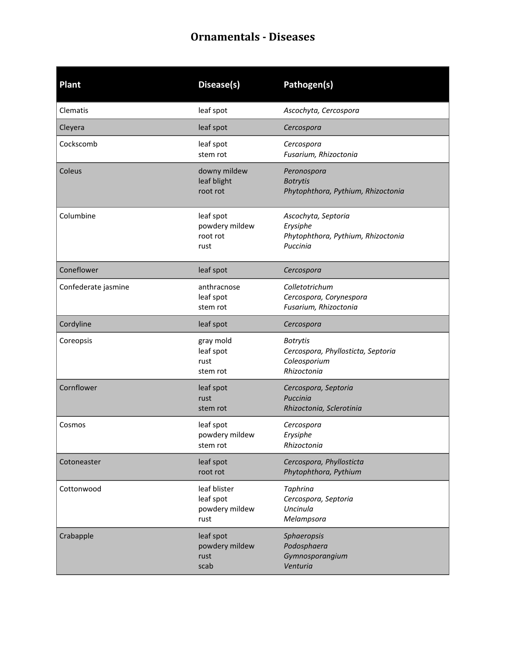| <b>Plant</b>        | Disease(s)                                          | Pathogen(s)                                                                          |
|---------------------|-----------------------------------------------------|--------------------------------------------------------------------------------------|
| Clematis            | leaf spot                                           | Ascochyta, Cercospora                                                                |
| Cleyera             | leaf spot                                           | Cercospora                                                                           |
| Cockscomb           | leaf spot<br>stem rot                               | Cercospora<br>Fusarium, Rhizoctonia                                                  |
| Coleus              | downy mildew<br>leaf blight<br>root rot             | Peronospora<br><b>Botrytis</b><br>Phytophthora, Pythium, Rhizoctonia                 |
| Columbine           | leaf spot<br>powdery mildew<br>root rot<br>rust     | Ascochyta, Septoria<br>Erysiphe<br>Phytophthora, Pythium, Rhizoctonia<br>Puccinia    |
| Coneflower          | leaf spot                                           | Cercospora                                                                           |
| Confederate jasmine | anthracnose<br>leaf spot<br>stem rot                | Colletotrichum<br>Cercospora, Corynespora<br>Fusarium, Rhizoctonia                   |
| Cordyline           | leaf spot                                           | Cercospora                                                                           |
| Coreopsis           | gray mold<br>leaf spot<br>rust<br>stem rot          | <b>Botrytis</b><br>Cercospora, Phyllosticta, Septoria<br>Coleosporium<br>Rhizoctonia |
| Cornflower          | leaf spot<br>rust<br>stem rot                       | Cercospora, Septoria<br>Puccinia<br>Rhizoctonia, Sclerotinia                         |
| Cosmos              | leaf spot<br>powdery mildew<br>stem rot             | Cercospora<br>Erysiphe<br>Rhizoctonia                                                |
| Cotoneaster         | leaf spot<br>root rot                               | Cercospora, Phyllosticta<br>Phytophthora, Pythium                                    |
| Cottonwood          | leaf blister<br>leaf spot<br>powdery mildew<br>rust | Taphrina<br>Cercospora, Septoria<br>Uncinula<br>Melampsora                           |
| Crabapple           | leaf spot<br>powdery mildew<br>rust<br>scab         | Sphaeropsis<br>Podosphaera<br>Gymnosporangium<br>Venturia                            |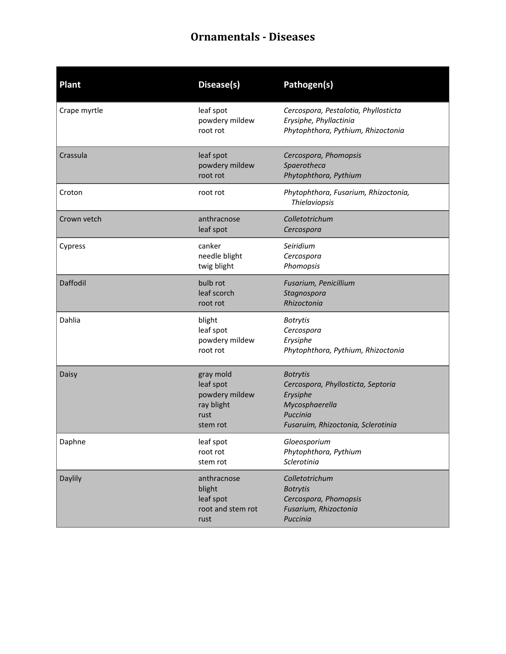| <b>Plant</b> | Disease(s)                                                                 | Pathogen(s)                                                                                                                           |
|--------------|----------------------------------------------------------------------------|---------------------------------------------------------------------------------------------------------------------------------------|
| Crape myrtle | leaf spot<br>powdery mildew<br>root rot                                    | Cercospora, Pestalotia, Phyllosticta<br>Erysiphe, Phyllactinia<br>Phytophthora, Pythium, Rhizoctonia                                  |
| Crassula     | leaf spot<br>powdery mildew<br>root rot                                    | Cercospora, Phomopsis<br>Spaerotheca<br>Phytophthora, Pythium                                                                         |
| Croton       | root rot                                                                   | Phytophthora, Fusarium, Rhizoctonia,<br><b>Thielaviopsis</b>                                                                          |
| Crown vetch  | anthracnose<br>leaf spot                                                   | Colletotrichum<br>Cercospora                                                                                                          |
| Cypress      | canker<br>needle blight<br>twig blight                                     | Seiridium<br>Cercospora<br>Phomopsis                                                                                                  |
| Daffodil     | bulb rot<br>leaf scorch<br>root rot                                        | Fusarium, Penicillium<br>Stagnospora<br>Rhizoctonia                                                                                   |
| Dahlia       | blight<br>leaf spot<br>powdery mildew<br>root rot                          | <b>Botrytis</b><br>Cercospora<br>Erysiphe<br>Phytophthora, Pythium, Rhizoctonia                                                       |
| Daisy        | gray mold<br>leaf spot<br>powdery mildew<br>ray blight<br>rust<br>stem rot | <b>Botrytis</b><br>Cercospora, Phyllosticta, Septoria<br>Erysiphe<br>Mycosphaerella<br>Puccinia<br>Fusaruim, Rhizoctonia, Sclerotinia |
| Daphne       | leaf spot<br>root rot<br>stem rot                                          | Gloeosporium<br>Phytophthora, Pythium<br>Sclerotinia                                                                                  |
| Daylily      | anthracnose<br>blight<br>leaf spot<br>root and stem rot<br>rust            | Colletotrichum<br><b>Botrytis</b><br>Cercospora, Phomopsis<br>Fusarium, Rhizoctonia<br>Puccinia                                       |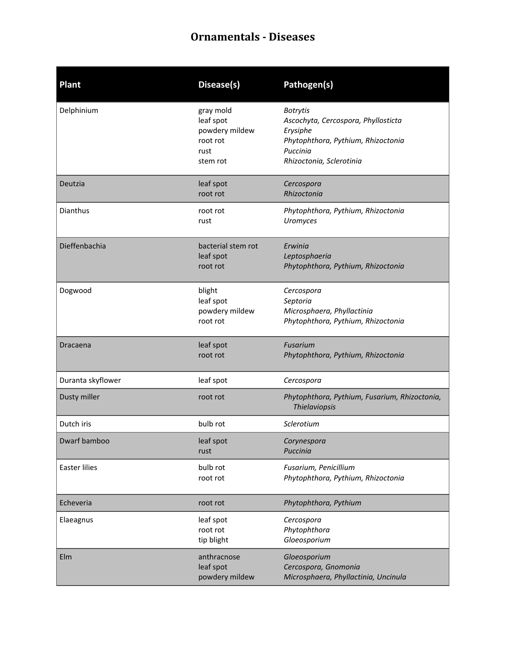| <b>Plant</b>         | Disease(s)                                                               | Pathogen(s)                                                                                                                                      |
|----------------------|--------------------------------------------------------------------------|--------------------------------------------------------------------------------------------------------------------------------------------------|
| Delphinium           | gray mold<br>leaf spot<br>powdery mildew<br>root rot<br>rust<br>stem rot | <b>Botrytis</b><br>Ascochyta, Cercospora, Phyllosticta<br>Erysiphe<br>Phytophthora, Pythium, Rhizoctonia<br>Puccinia<br>Rhizoctonia, Sclerotinia |
| Deutzia              | leaf spot<br>root rot                                                    | Cercospora<br>Rhizoctonia                                                                                                                        |
| <b>Dianthus</b>      | root rot<br>rust                                                         | Phytophthora, Pythium, Rhizoctonia<br><b>Uromyces</b>                                                                                            |
| Dieffenbachia        | bacterial stem rot<br>leaf spot<br>root rot                              | Erwinia<br>Leptosphaeria<br>Phytophthora, Pythium, Rhizoctonia                                                                                   |
| Dogwood              | blight<br>leaf spot<br>powdery mildew<br>root rot                        | Cercospora<br>Septoria<br>Microsphaera, Phyllactinia<br>Phytophthora, Pythium, Rhizoctonia                                                       |
| Dracaena             | leaf spot<br>root rot                                                    | Fusarium<br>Phytophthora, Pythium, Rhizoctonia                                                                                                   |
| Duranta skyflower    | leaf spot                                                                | Cercospora                                                                                                                                       |
| Dusty miller         | root rot                                                                 | Phytophthora, Pythium, Fusarium, Rhizoctonia,<br><b>Thielaviopsis</b>                                                                            |
| Dutch iris           | bulb rot                                                                 | Sclerotium                                                                                                                                       |
| Dwarf bamboo         | leaf spot<br>rust                                                        | Corynespora<br>Puccinia                                                                                                                          |
| <b>Easter lilies</b> | bulb rot<br>root rot                                                     | Fusarium, Penicillium<br>Phytophthora, Pythium, Rhizoctonia                                                                                      |
| Echeveria            | root rot                                                                 | Phytophthora, Pythium                                                                                                                            |
| Elaeagnus            | leaf spot<br>root rot<br>tip blight                                      | Cercospora<br>Phytophthora<br>Gloeosporium                                                                                                       |
| Elm                  | anthracnose<br>leaf spot<br>powdery mildew                               | Gloeosporium<br>Cercospora, Gnomonia<br>Microsphaera, Phyllactinia, Uncinula                                                                     |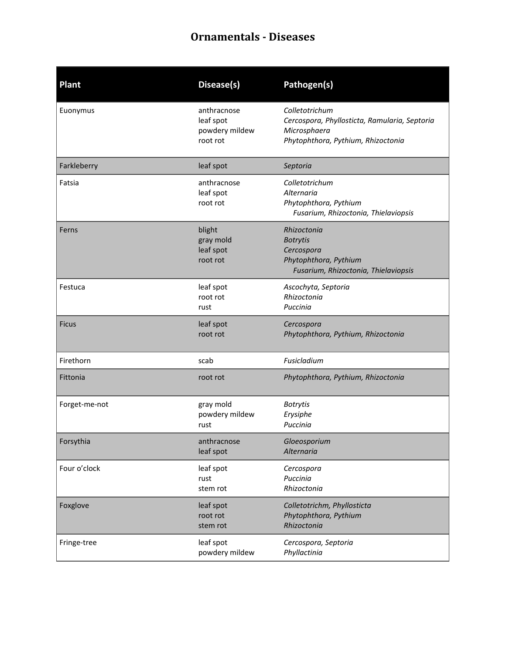| <b>Plant</b>  | Disease(s)                                             | Pathogen(s)                                                                                                           |
|---------------|--------------------------------------------------------|-----------------------------------------------------------------------------------------------------------------------|
| Euonymus      | anthracnose<br>leaf spot<br>powdery mildew<br>root rot | Colletotrichum<br>Cercospora, Phyllosticta, Ramularia, Septoria<br>Microsphaera<br>Phytophthora, Pythium, Rhizoctonia |
| Farkleberry   | leaf spot                                              | Septoria                                                                                                              |
| Fatsia        | anthracnose<br>leaf spot<br>root rot                   | Colletotrichum<br>Alternaria<br>Phytophthora, Pythium<br>Fusarium, Rhizoctonia, Thielaviopsis                         |
| Ferns         | blight<br>gray mold<br>leaf spot<br>root rot           | Rhizoctonia<br><b>Botrytis</b><br>Cercospora<br>Phytophthora, Pythium<br>Fusarium, Rhizoctonia, Thielaviopsis         |
| Festuca       | leaf spot<br>root rot<br>rust                          | Ascochyta, Septoria<br>Rhizoctonia<br>Puccinia                                                                        |
| <b>Ficus</b>  | leaf spot<br>root rot                                  | Cercospora<br>Phytophthora, Pythium, Rhizoctonia                                                                      |
| Firethorn     | scab                                                   | Fusicladium                                                                                                           |
| Fittonia      | root rot                                               | Phytophthora, Pythium, Rhizoctonia                                                                                    |
| Forget-me-not | gray mold<br>powdery mildew<br>rust                    | <b>Botrytis</b><br>Erysiphe<br>Puccinia                                                                               |
| Forsythia     | anthracnose<br>leaf spot                               | Gloeosporium<br>Alternaria                                                                                            |
| Four o'clock  | leaf spot<br>rust<br>stem rot                          | Cercospora<br>Puccinia<br>Rhizoctonia                                                                                 |
| Foxglove      | leaf spot<br>root rot<br>stem rot                      | Colletotrichm, Phyllosticta<br>Phytophthora, Pythium<br>Rhizoctonia                                                   |
| Fringe-tree   | leaf spot<br>powdery mildew                            | Cercospora, Septoria<br>Phyllactinia                                                                                  |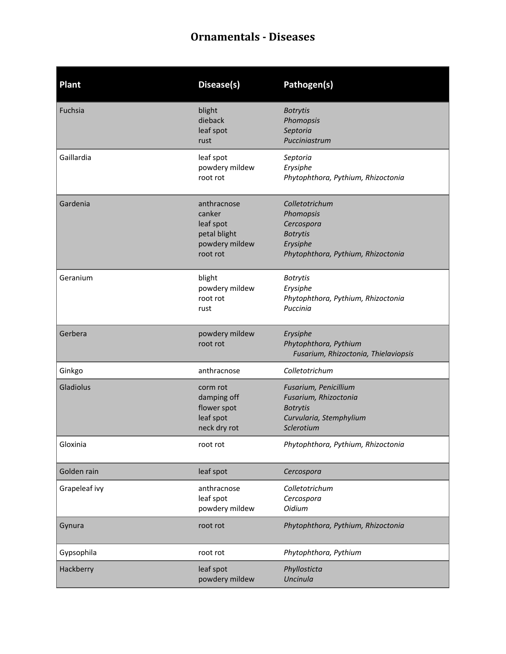| Plant         | Disease(s)                                                                       | Pathogen(s)                                                                                                    |
|---------------|----------------------------------------------------------------------------------|----------------------------------------------------------------------------------------------------------------|
| Fuchsia       | blight<br>dieback<br>leaf spot<br>rust                                           | <b>Botrytis</b><br>Phomopsis<br>Septoria<br>Pucciniastrum                                                      |
| Gaillardia    | leaf spot<br>powdery mildew<br>root rot                                          | Septoria<br>Erysiphe<br>Phytophthora, Pythium, Rhizoctonia                                                     |
| Gardenia      | anthracnose<br>canker<br>leaf spot<br>petal blight<br>powdery mildew<br>root rot | Colletotrichum<br>Phomopsis<br>Cercospora<br><b>Botrytis</b><br>Erysiphe<br>Phytophthora, Pythium, Rhizoctonia |
| Geranium      | blight<br>powdery mildew<br>root rot<br>rust                                     | <b>Botrytis</b><br>Erysiphe<br>Phytophthora, Pythium, Rhizoctonia<br>Puccinia                                  |
| Gerbera       | powdery mildew<br>root rot                                                       | Erysiphe<br>Phytophthora, Pythium<br>Fusarium, Rhizoctonia, Thielaviopsis                                      |
| Ginkgo        | anthracnose                                                                      | Colletotrichum                                                                                                 |
| Gladiolus     | corm rot<br>damping off<br>flower spot<br>leaf spot<br>neck dry rot              | Fusarium, Penicillium<br>Fusarium, Rhizoctonia<br><b>Botrytis</b><br>Curvularia, Stemphylium<br>Sclerotium     |
| Gloxinia      | root rot                                                                         | Phytophthora, Pythium, Rhizoctonia                                                                             |
| Golden rain   | leaf spot                                                                        | Cercospora                                                                                                     |
| Grapeleaf ivy | anthracnose<br>leaf spot<br>powdery mildew                                       | Colletotrichum<br>Cercospora<br>Oidium                                                                         |
| Gynura        | root rot                                                                         | Phytophthora, Pythium, Rhizoctonia                                                                             |
| Gypsophila    | root rot                                                                         | Phytophthora, Pythium                                                                                          |
| Hackberry     | leaf spot<br>powdery mildew                                                      | Phyllosticta<br>Uncinula                                                                                       |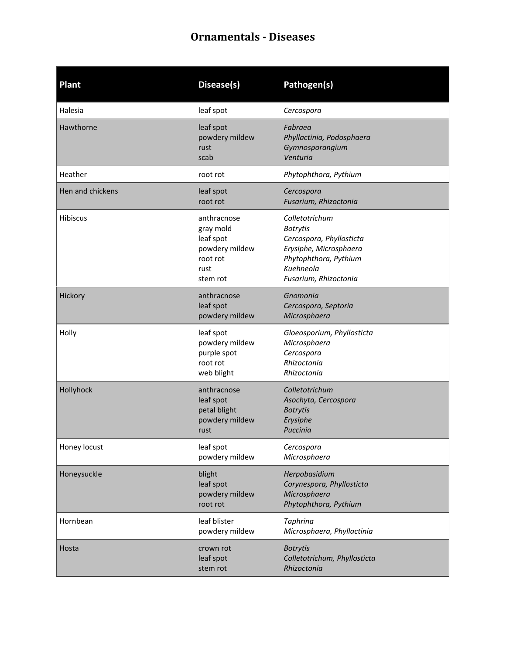| <b>Plant</b>     | Disease(s)                                                                              | Pathogen(s)                                                                                                                                            |
|------------------|-----------------------------------------------------------------------------------------|--------------------------------------------------------------------------------------------------------------------------------------------------------|
| Halesia          | leaf spot                                                                               | Cercospora                                                                                                                                             |
| Hawthorne        | leaf spot<br>powdery mildew<br>rust<br>scab                                             | Fabraea<br>Phyllactinia, Podosphaera<br>Gymnosporangium<br>Venturia                                                                                    |
| Heather          | root rot                                                                                | Phytophthora, Pythium                                                                                                                                  |
| Hen and chickens | leaf spot<br>root rot                                                                   | Cercospora<br>Fusarium, Rhizoctonia                                                                                                                    |
| <b>Hibiscus</b>  | anthracnose<br>gray mold<br>leaf spot<br>powdery mildew<br>root rot<br>rust<br>stem rot | Colletotrichum<br><b>Botrytis</b><br>Cercospora, Phyllosticta<br>Erysiphe, Microsphaera<br>Phytophthora, Pythium<br>Kuehneola<br>Fusarium, Rhizoctonia |
| Hickory          | anthracnose<br>leaf spot<br>powdery mildew                                              | Gnomonia<br>Cercospora, Septoria<br>Microsphaera                                                                                                       |
| Holly            | leaf spot<br>powdery mildew<br>purple spot<br>root rot<br>web blight                    | Gloeosporium, Phyllosticta<br>Microsphaera<br>Cercospora<br>Rhizoctonia<br>Rhizoctonia                                                                 |
| Hollyhock        | anthracnose<br>leaf spot<br>petal blight<br>powdery mildew<br>rust                      | Colletotrichum<br>Asochyta, Cercospora<br><b>Botrytis</b><br>Erysiphe<br>Puccinia                                                                      |
| Honey locust     | leaf spot<br>powdery mildew                                                             | Cercospora<br>Microsphaera                                                                                                                             |
| Honeysuckle      | blight<br>leaf spot<br>powdery mildew<br>root rot                                       | Herpobasidium<br>Corynespora, Phyllosticta<br>Microsphaera<br>Phytophthora, Pythium                                                                    |
| Hornbean         | leaf blister<br>powdery mildew                                                          | Taphrina<br>Microsphaera, Phyllactinia                                                                                                                 |
| Hosta            | crown rot<br>leaf spot<br>stem rot                                                      | <b>Botrytis</b><br>Colletotrichum, Phyllosticta<br>Rhizoctonia                                                                                         |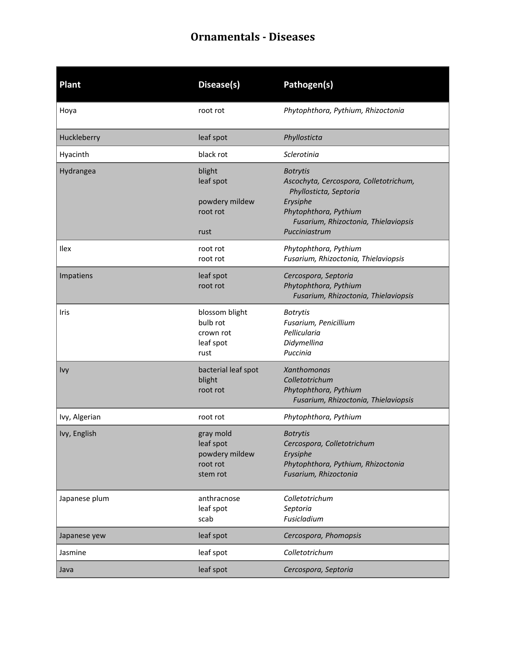| <b>Plant</b>  | Disease(s)                                                       | Pathogen(s)                                                                                                                                                                       |
|---------------|------------------------------------------------------------------|-----------------------------------------------------------------------------------------------------------------------------------------------------------------------------------|
| Hoya          | root rot                                                         | Phytophthora, Pythium, Rhizoctonia                                                                                                                                                |
| Huckleberry   | leaf spot                                                        | Phyllosticta                                                                                                                                                                      |
| Hyacinth      | black rot                                                        | Sclerotinia                                                                                                                                                                       |
| Hydrangea     | blight<br>leaf spot<br>powdery mildew<br>root rot<br>rust        | <b>Botrytis</b><br>Ascochyta, Cercospora, Colletotrichum,<br>Phyllosticta, Septoria<br>Erysiphe<br>Phytophthora, Pythium<br>Fusarium, Rhizoctonia, Thielaviopsis<br>Pucciniastrum |
| <b>Ilex</b>   | root rot<br>root rot                                             | Phytophthora, Pythium<br>Fusarium, Rhizoctonia, Thielaviopsis                                                                                                                     |
| Impatiens     | leaf spot<br>root rot                                            | Cercospora, Septoria<br>Phytophthora, Pythium<br>Fusarium, Rhizoctonia, Thielaviopsis                                                                                             |
| Iris          | blossom blight<br>bulb rot<br>crown rot<br>leaf spot<br>rust     | <b>Botrytis</b><br>Fusarium, Penicillium<br>Pellicularia<br>Didymellina<br>Puccinia                                                                                               |
| Ivy           | bacterial leaf spot<br>blight<br>root rot                        | <b>Xanthomonas</b><br>Colletotrichum<br>Phytophthora, Pythium<br>Fusarium, Rhizoctonia, Thielaviopsis                                                                             |
| Ivy, Algerian | root rot                                                         | Phytophthora, Pythium                                                                                                                                                             |
| Ivy, English  | gray mold<br>leaf spot<br>powdery mildew<br>root rot<br>stem rot | <b>Botrytis</b><br>Cercospora, Colletotrichum<br>Erysiphe<br>Phytophthora, Pythium, Rhizoctonia<br>Fusarium, Rhizoctonia                                                          |
| Japanese plum | anthracnose<br>leaf spot<br>scab                                 | Colletotrichum<br>Septoria<br>Fusicladium                                                                                                                                         |
| Japanese yew  | leaf spot                                                        | Cercospora, Phomopsis                                                                                                                                                             |
| Jasmine       | leaf spot                                                        | Colletotrichum                                                                                                                                                                    |
| Java          | leaf spot                                                        | Cercospora, Septoria                                                                                                                                                              |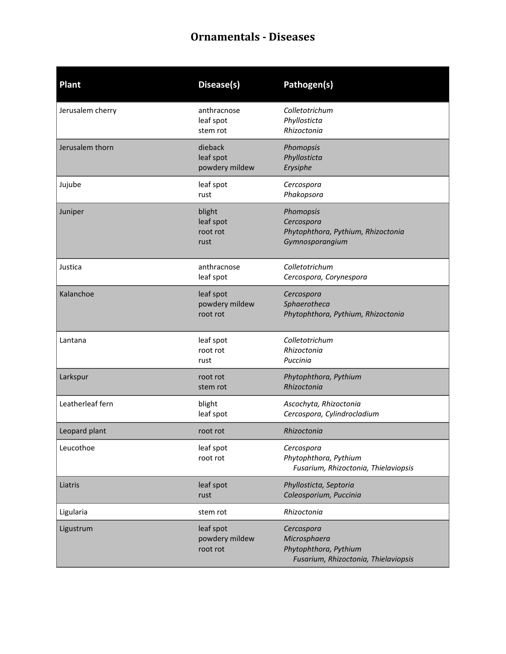| <b>Plant</b>     | Disease(s)                              | Pathogen(s)                                                                                 |
|------------------|-----------------------------------------|---------------------------------------------------------------------------------------------|
| Jerusalem cherry | anthracnose<br>leaf spot<br>stem rot    | Colletotrichum<br>Phyllosticta<br>Rhizoctonia                                               |
| Jerusalem thorn  | dieback<br>leaf spot<br>powdery mildew  | Phomopsis<br>Phyllosticta<br>Erysiphe                                                       |
| Jujube           | leaf spot<br>rust                       | Cercospora<br>Phakopsora                                                                    |
| Juniper          | blight<br>leaf spot<br>root rot<br>rust | Phomopsis<br>Cercospora<br>Phytophthora, Pythium, Rhizoctonia<br>Gymnosporangium            |
| Justica          | anthracnose<br>leaf spot                | Colletotrichum<br>Cercospora, Corynespora                                                   |
| Kalanchoe        | leaf spot<br>powdery mildew<br>root rot | Cercospora<br>Sphaerotheca<br>Phytophthora, Pythium, Rhizoctonia                            |
| Lantana          | leaf spot<br>root rot<br>rust           | Colletotrichum<br>Rhizoctonia<br>Puccinia                                                   |
| Larkspur         | root rot<br>stem rot                    | Phytophthora, Pythium<br>Rhizoctonia                                                        |
| Leatherleaf fern | blight<br>leaf spot                     | Ascochyta, Rhizoctonia<br>Cercospora, Cylindrocladium                                       |
| Leopard plant    | root rot                                | Rhizoctonia                                                                                 |
| Leucothoe        | leaf spot<br>root rot                   | Cercospora<br>Phytophthora, Pythium<br>Fusarium, Rhizoctonia, Thielaviopsis                 |
| Liatris          | leaf spot<br>rust                       | Phyllosticta, Septoria<br>Coleosporium, Puccinia                                            |
| Ligularia        | stem rot                                | Rhizoctonia                                                                                 |
| Ligustrum        | leaf spot<br>powdery mildew<br>root rot | Cercospora<br>Microsphaera<br>Phytophthora, Pythium<br>Fusarium, Rhizoctonia, Thielaviopsis |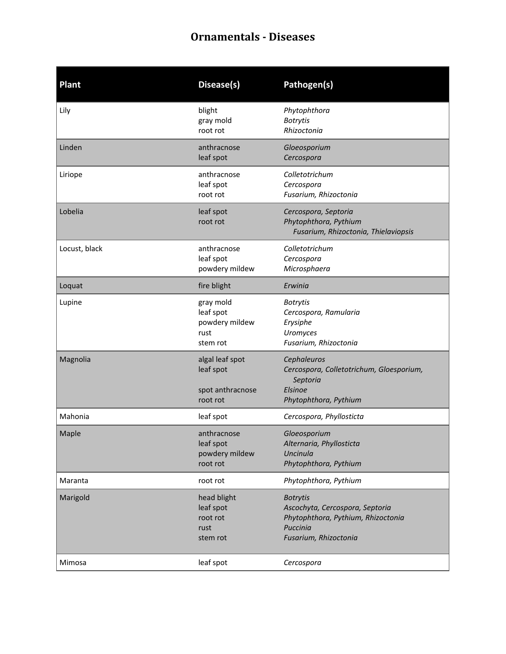the control of the control of the

| <b>Plant</b>  | Disease(s)                                                   | Pathogen(s)                                                                                                                   |
|---------------|--------------------------------------------------------------|-------------------------------------------------------------------------------------------------------------------------------|
| Lily          | blight<br>gray mold<br>root rot                              | Phytophthora<br><b>Botrytis</b><br>Rhizoctonia                                                                                |
| Linden        | anthracnose<br>leaf spot                                     | Gloeosporium<br>Cercospora                                                                                                    |
| Liriope       | anthracnose<br>leaf spot<br>root rot                         | Colletotrichum<br>Cercospora<br>Fusarium, Rhizoctonia                                                                         |
| Lobelia       | leaf spot<br>root rot                                        | Cercospora, Septoria<br>Phytophthora, Pythium<br>Fusarium, Rhizoctonia, Thielaviopsis                                         |
| Locust, black | anthracnose<br>leaf spot<br>powdery mildew                   | Colletotrichum<br>Cercospora<br>Microsphaera                                                                                  |
| Loquat        | fire blight                                                  | Erwinia                                                                                                                       |
| Lupine        | gray mold<br>leaf spot<br>powdery mildew<br>rust<br>stem rot | <b>Botrytis</b><br>Cercospora, Ramularia<br>Erysiphe<br><b>Uromyces</b><br>Fusarium, Rhizoctonia                              |
| Magnolia      | algal leaf spot<br>leaf spot<br>spot anthracnose<br>root rot | Cephaleuros<br>Cercospora, Colletotrichum, Gloesporium,<br>Septoria<br>Elsinoe<br>Phytophthora, Pythium                       |
| Mahonia       | leaf spot                                                    | Cercospora, Phyllosticta                                                                                                      |
| Maple         | anthracnose<br>leaf spot<br>powdery mildew<br>root rot       | Gloeosporium<br>Alternaria, Phyllosticta<br>Uncinula<br>Phytophthora, Pythium                                                 |
| Maranta       | root rot                                                     | Phytophthora, Pythium                                                                                                         |
| Marigold      | head blight<br>leaf spot<br>root rot<br>rust<br>stem rot     | <b>Botrytis</b><br>Ascochyta, Cercospora, Septoria<br>Phytophthora, Pythium, Rhizoctonia<br>Puccinia<br>Fusarium, Rhizoctonia |
| Mimosa        | leaf spot                                                    | Cercospora                                                                                                                    |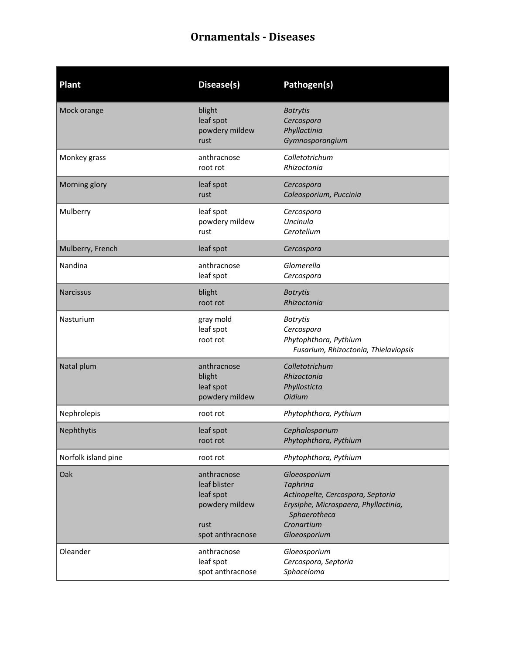| <b>Plant</b>        | Disease(s)                                                                             | Pathogen(s)                                                                                                                                                |
|---------------------|----------------------------------------------------------------------------------------|------------------------------------------------------------------------------------------------------------------------------------------------------------|
| Mock orange         | blight<br>leaf spot<br>powdery mildew<br>rust                                          | <b>Botrytis</b><br>Cercospora<br>Phyllactinia<br>Gymnosporangium                                                                                           |
| Monkey grass        | anthracnose<br>root rot                                                                | Colletotrichum<br>Rhizoctonia                                                                                                                              |
| Morning glory       | leaf spot<br>rust                                                                      | Cercospora<br>Coleosporium, Puccinia                                                                                                                       |
| Mulberry            | leaf spot<br>powdery mildew<br>rust                                                    | Cercospora<br>Uncinula<br>Cerotelium                                                                                                                       |
| Mulberry, French    | leaf spot                                                                              | Cercospora                                                                                                                                                 |
| Nandina             | anthracnose<br>leaf spot                                                               | Glomerella<br>Cercospora                                                                                                                                   |
| <b>Narcissus</b>    | blight<br>root rot                                                                     | <b>Botrytis</b><br>Rhizoctonia                                                                                                                             |
| Nasturium           | gray mold<br>leaf spot<br>root rot                                                     | <b>Botrytis</b><br>Cercospora<br>Phytophthora, Pythium<br>Fusarium, Rhizoctonia, Thielaviopsis                                                             |
| Natal plum          | anthracnose<br>blight<br>leaf spot<br>powdery mildew                                   | Colletotrichum<br>Rhizoctonia<br>Phyllosticta<br><b>Oidium</b>                                                                                             |
| Nephrolepis         | root rot                                                                               | Phytophthora, Pythium                                                                                                                                      |
| Nephthytis          | leaf spot<br>root rot                                                                  | Cephalosporium<br>Phytophthora, Pythium                                                                                                                    |
| Norfolk island pine | root rot                                                                               | Phytophthora, Pythium                                                                                                                                      |
| Oak                 | anthracnose<br>leaf blister<br>leaf spot<br>powdery mildew<br>rust<br>spot anthracnose | Gloeosporium<br><b>Taphrina</b><br>Actinopelte, Cercospora, Septoria<br>Erysiphe, Microspaera, Phyllactinia,<br>Sphaerotheca<br>Cronartium<br>Gloeosporium |
| Oleander            | anthracnose<br>leaf spot<br>spot anthracnose                                           | Gloeosporium<br>Cercospora, Septoria<br>Sphaceloma                                                                                                         |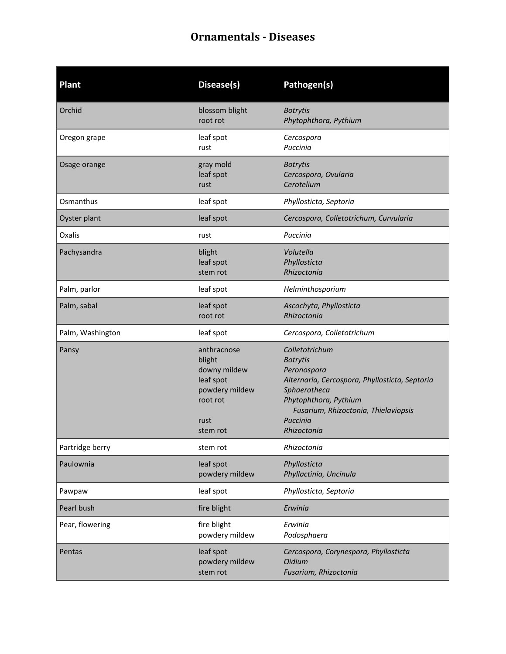| <b>Plant</b>     | Disease(s)                                                                                           | Pathogen(s)                                                                                                                                                                                                    |
|------------------|------------------------------------------------------------------------------------------------------|----------------------------------------------------------------------------------------------------------------------------------------------------------------------------------------------------------------|
| Orchid           | blossom blight<br>root rot                                                                           | <b>Botrytis</b><br>Phytophthora, Pythium                                                                                                                                                                       |
| Oregon grape     | leaf spot<br>rust                                                                                    | Cercospora<br>Puccinia                                                                                                                                                                                         |
| Osage orange     | gray mold<br>leaf spot<br>rust                                                                       | <b>Botrytis</b><br>Cercospora, Ovularia<br>Cerotelium                                                                                                                                                          |
| Osmanthus        | leaf spot                                                                                            | Phyllosticta, Septoria                                                                                                                                                                                         |
| Oyster plant     | leaf spot                                                                                            | Cercospora, Colletotrichum, Curvularia                                                                                                                                                                         |
| Oxalis           | rust                                                                                                 | Puccinia                                                                                                                                                                                                       |
| Pachysandra      | blight<br>leaf spot<br>stem rot                                                                      | Volutella<br>Phyllosticta<br>Rhizoctonia                                                                                                                                                                       |
| Palm, parlor     | leaf spot                                                                                            | Helminthosporium                                                                                                                                                                                               |
| Palm, sabal      | leaf spot<br>root rot                                                                                | Ascochyta, Phyllosticta<br>Rhizoctonia                                                                                                                                                                         |
| Palm, Washington | leaf spot                                                                                            | Cercospora, Colletotrichum                                                                                                                                                                                     |
| Pansy            | anthracnose<br>blight<br>downy mildew<br>leaf spot<br>powdery mildew<br>root rot<br>rust<br>stem rot | Colletotrichum<br><b>Botrytis</b><br>Peronospora<br>Alternaria, Cercospora, Phyllosticta, Septoria<br>Sphaerotheca<br>Phytophthora, Pythium<br>Fusarium, Rhizoctonia, Thielaviopsis<br>Puccinia<br>Rhizoctonia |
| Partridge berry  | stem rot                                                                                             | Rhizoctonia                                                                                                                                                                                                    |
| Paulownia        | leaf spot<br>powdery mildew                                                                          | Phyllosticta<br>Phyllactinia, Uncinula                                                                                                                                                                         |
| Pawpaw           | leaf spot                                                                                            | Phyllosticta, Septoria                                                                                                                                                                                         |
| Pearl bush       | fire blight                                                                                          | Erwinia                                                                                                                                                                                                        |
| Pear, flowering  | fire blight<br>powdery mildew                                                                        | Erwinia<br>Podosphaera                                                                                                                                                                                         |
| Pentas           | leaf spot<br>powdery mildew<br>stem rot                                                              | Cercospora, Corynespora, Phyllosticta<br><b>Oidium</b><br>Fusarium, Rhizoctonia                                                                                                                                |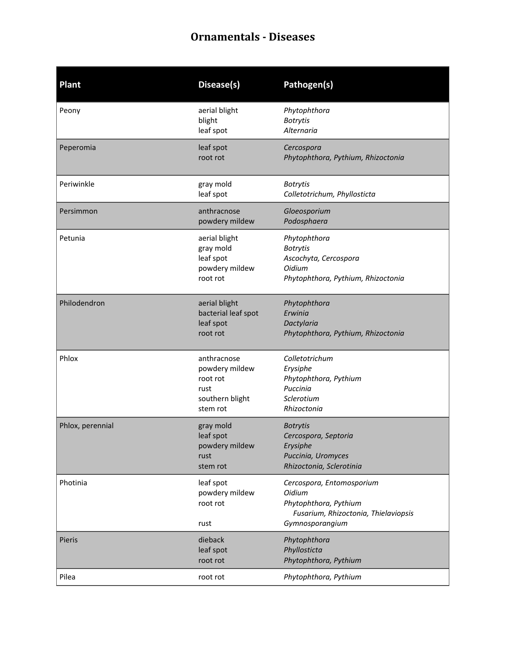| <b>Plant</b>     | Disease(s)                                                                       | Pathogen(s)                                                                                                             |
|------------------|----------------------------------------------------------------------------------|-------------------------------------------------------------------------------------------------------------------------|
| Peony            | aerial blight<br>blight<br>leaf spot                                             | Phytophthora<br><b>Botrytis</b><br>Alternaria                                                                           |
| Peperomia        | leaf spot<br>root rot                                                            | Cercospora<br>Phytophthora, Pythium, Rhizoctonia                                                                        |
| Periwinkle       | gray mold<br>leaf spot                                                           | <b>Botrytis</b><br>Colletotrichum, Phyllosticta                                                                         |
| Persimmon        | anthracnose<br>powdery mildew                                                    | Gloeosporium<br>Podosphaera                                                                                             |
| Petunia          | aerial blight<br>gray mold<br>leaf spot<br>powdery mildew<br>root rot            | Phytophthora<br><b>Botrytis</b><br>Ascochyta, Cercospora<br>Oidium<br>Phytophthora, Pythium, Rhizoctonia                |
| Philodendron     | aerial blight<br>bacterial leaf spot<br>leaf spot<br>root rot                    | Phytophthora<br>Erwinia<br>Dactylaria<br>Phytophthora, Pythium, Rhizoctonia                                             |
| Phlox            | anthracnose<br>powdery mildew<br>root rot<br>rust<br>southern blight<br>stem rot | Colletotrichum<br>Erysiphe<br>Phytophthora, Pythium<br>Puccinia<br>Sclerotium<br>Rhizoctonia                            |
| Phlox, perennial | gray mold<br>leaf spot<br>powdery mildew<br>rust<br>stem rot                     | <b>Botrytis</b><br>Cercospora, Septoria<br>Erysiphe<br>Puccinia, Uromyces<br>Rhizoctonia, Sclerotinia                   |
| Photinia         | leaf spot<br>powdery mildew<br>root rot<br>rust                                  | Cercospora, Entomosporium<br>Oidium<br>Phytophthora, Pythium<br>Fusarium, Rhizoctonia, Thielaviopsis<br>Gymnosporangium |
| Pieris           | dieback<br>leaf spot<br>root rot                                                 | Phytophthora<br>Phyllosticta<br>Phytophthora, Pythium                                                                   |
| Pilea            | root rot                                                                         | Phytophthora, Pythium                                                                                                   |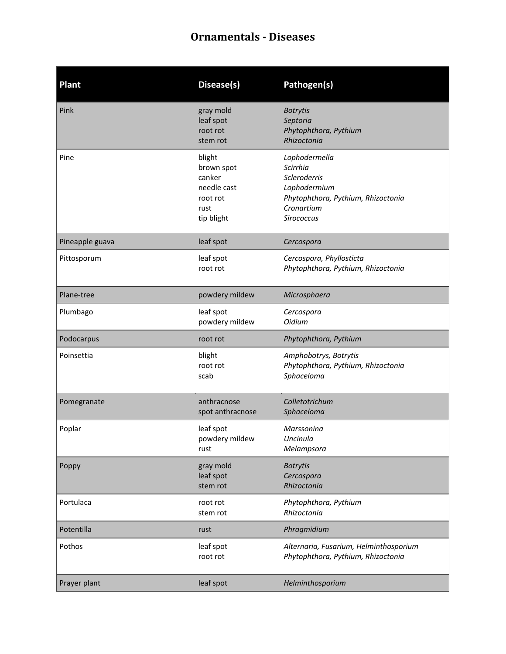| <b>Plant</b>    | Disease(s)                                                                      | Pathogen(s)                                                                                                                        |
|-----------------|---------------------------------------------------------------------------------|------------------------------------------------------------------------------------------------------------------------------------|
| Pink            | gray mold<br>leaf spot<br>root rot<br>stem rot                                  | <b>Botrytis</b><br>Septoria<br>Phytophthora, Pythium<br>Rhizoctonia                                                                |
| Pine            | blight<br>brown spot<br>canker<br>needle cast<br>root rot<br>rust<br>tip blight | Lophodermella<br>Scirrhia<br>Scleroderris<br>Lophodermium<br>Phytophthora, Pythium, Rhizoctonia<br>Cronartium<br><b>Sirococcus</b> |
| Pineapple guava | leaf spot                                                                       | Cercospora                                                                                                                         |
| Pittosporum     | leaf spot<br>root rot                                                           | Cercospora, Phyllosticta<br>Phytophthora, Pythium, Rhizoctonia                                                                     |
| Plane-tree      | powdery mildew                                                                  | Microsphaera                                                                                                                       |
| Plumbago        | leaf spot<br>powdery mildew                                                     | Cercospora<br><b>Oidium</b>                                                                                                        |
| Podocarpus      | root rot                                                                        | Phytophthora, Pythium                                                                                                              |
| Poinsettia      | blight                                                                          | Amphobotrys, Botrytis                                                                                                              |
|                 | root rot<br>scab                                                                | Phytophthora, Pythium, Rhizoctonia<br>Sphaceloma                                                                                   |
| Pomegranate     | anthracnose<br>spot anthracnose                                                 | Colletotrichum<br>Sphaceloma                                                                                                       |
| Poplar          | leaf spot<br>powdery mildew<br>rust                                             | Marssonina<br>Uncinula<br>Melampsora                                                                                               |
| Poppy           | gray mold<br>leaf spot<br>stem rot                                              | <b>Botrytis</b><br>Cercospora<br>Rhizoctonia                                                                                       |
| Portulaca       | root rot<br>stem rot                                                            | Phytophthora, Pythium<br>Rhizoctonia                                                                                               |
| Potentilla      | rust                                                                            | Phragmidium                                                                                                                        |
| Pothos          | leaf spot<br>root rot                                                           | Alternaria, Fusarium, Helminthosporium<br>Phytophthora, Pythium, Rhizoctonia                                                       |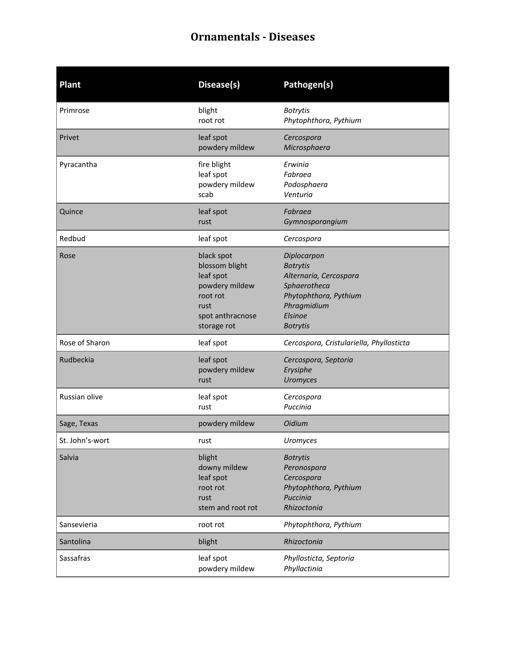| <b>Plant</b>    | Disease(s)                                                                                                         | Pathogen(s)                                                                                                                                    |
|-----------------|--------------------------------------------------------------------------------------------------------------------|------------------------------------------------------------------------------------------------------------------------------------------------|
| Primrose        | blight<br>root rot                                                                                                 | <b>Botrytis</b><br>Phytophthora, Pythium                                                                                                       |
| Privet          | leaf spot<br>powdery mildew                                                                                        | Cercospora<br>Microsphaera                                                                                                                     |
| Pyracantha      | fire blight<br>leaf spot<br>powdery mildew<br>scab                                                                 | Erwinia<br>Fabraea<br>Podosphaera<br>Venturia                                                                                                  |
| Quince          | leaf spot<br>rust                                                                                                  | Fabraea<br>Gymnosporangium                                                                                                                     |
| Redbud          | leaf spot                                                                                                          | Cercospora                                                                                                                                     |
| Rose            | black spot<br>blossom blight<br>leaf spot<br>powdery mildew<br>root rot<br>rust<br>spot anthracnose<br>storage rot | Diplocarpon<br><b>Botrytis</b><br>Alternaria, Cercospora<br>Sphaerotheca<br>Phytophthora, Pythium<br>Phragmidium<br>Elsinoe<br><b>Botrytis</b> |
| Rose of Sharon  | leaf spot                                                                                                          | Cercospora, Cristulariella, Phyllosticta                                                                                                       |
| Rudbeckia       | leaf spot<br>powdery mildew<br>rust                                                                                | Cercospora, Septoria<br>Erysiphe<br><b>Uromyces</b>                                                                                            |
| Russian olive   | leaf spot<br>rust                                                                                                  | Cercospora<br>Puccinia                                                                                                                         |
| Sage, Texas     | powdery mildew                                                                                                     | <b>Oidium</b>                                                                                                                                  |
| St. John's-wort | rust                                                                                                               | <b>Uromyces</b>                                                                                                                                |
| Salvia          | blight<br>downy mildew<br>leaf spot<br>root rot<br>rust<br>stem and root rot                                       | <b>Botrytis</b><br>Peronospora<br>Cercospora<br>Phytophthora, Pythium<br>Puccinia<br>Rhizoctonia                                               |
| Sansevieria     | root rot                                                                                                           | Phytophthora, Pythium                                                                                                                          |
| Santolina       | blight                                                                                                             | Rhizoctonia                                                                                                                                    |
| Sassafras       | leaf spot<br>powdery mildew                                                                                        | Phyllosticta, Septoria<br>Phyllactinia                                                                                                         |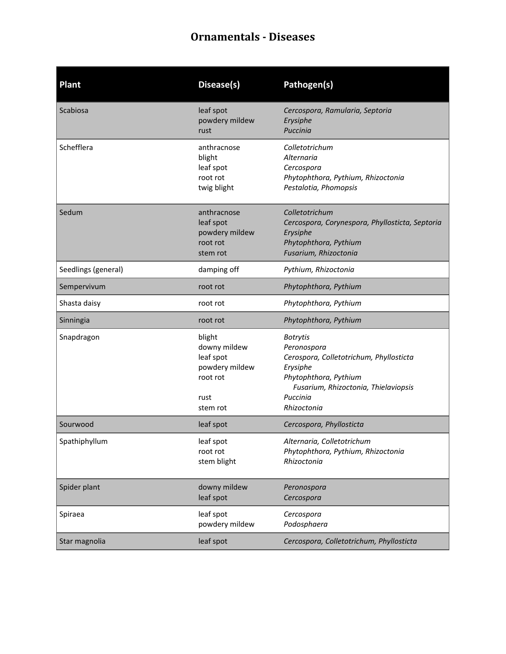| <b>Plant</b>        | Disease(s)                                                                            | Pathogen(s)                                                                                                                                                                       |
|---------------------|---------------------------------------------------------------------------------------|-----------------------------------------------------------------------------------------------------------------------------------------------------------------------------------|
| Scabiosa            | leaf spot<br>powdery mildew<br>rust                                                   | Cercospora, Ramularia, Septoria<br>Erysiphe<br>Puccinia                                                                                                                           |
| Schefflera          | anthracnose<br>blight<br>leaf spot<br>root rot<br>twig blight                         | Colletotrichum<br>Alternaria<br>Cercospora<br>Phytophthora, Pythium, Rhizoctonia<br>Pestalotia, Phomopsis                                                                         |
| Sedum               | anthracnose<br>leaf spot<br>powdery mildew<br>root rot<br>stem rot                    | Colletotrichum<br>Cercospora, Corynespora, Phyllosticta, Septoria<br>Erysiphe<br>Phytophthora, Pythium<br>Fusarium, Rhizoctonia                                                   |
| Seedlings (general) | damping off                                                                           | Pythium, Rhizoctonia                                                                                                                                                              |
| Sempervivum         | root rot                                                                              | Phytophthora, Pythium                                                                                                                                                             |
| Shasta daisy        | root rot                                                                              | Phytophthora, Pythium                                                                                                                                                             |
| Sinningia           | root rot                                                                              | Phytophthora, Pythium                                                                                                                                                             |
| Snapdragon          | blight<br>downy mildew<br>leaf spot<br>powdery mildew<br>root rot<br>rust<br>stem rot | <b>Botrytis</b><br>Peronospora<br>Cerospora, Colletotrichum, Phyllosticta<br>Erysiphe<br>Phytophthora, Pythium<br>Fusarium, Rhizoctonia, Thielaviopsis<br>Puccinia<br>Rhizoctonia |
| Sourwood            | leaf spot                                                                             | Cercospora, Phyllosticta                                                                                                                                                          |
| Spathiphyllum       | leaf spot<br>root rot<br>stem blight                                                  | Alternaria, Colletotrichum<br>Phytophthora, Pythium, Rhizoctonia<br>Rhizoctonia                                                                                                   |
| Spider plant        | downy mildew<br>leaf spot                                                             | Peronospora<br>Cercospora                                                                                                                                                         |
| Spiraea             | leaf spot<br>powdery mildew                                                           | Cercospora<br>Podosphaera                                                                                                                                                         |
| Star magnolia       | leaf spot                                                                             | Cercospora, Colletotrichum, Phyllosticta                                                                                                                                          |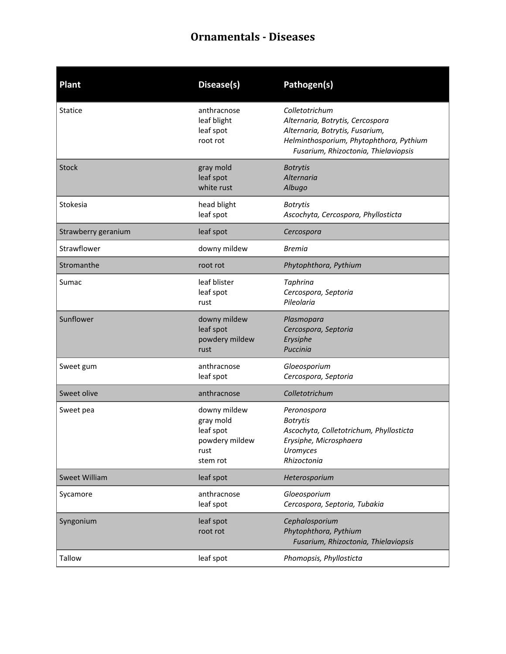| <b>Plant</b>         | Disease(s)                                                                   | Pathogen(s)                                                                                                                                                              |
|----------------------|------------------------------------------------------------------------------|--------------------------------------------------------------------------------------------------------------------------------------------------------------------------|
| Statice              | anthracnose<br>leaf blight<br>leaf spot<br>root rot                          | Colletotrichum<br>Alternaria, Botrytis, Cercospora<br>Alternaria, Botrytis, Fusarium,<br>Helminthosporium, Phytophthora, Pythium<br>Fusarium, Rhizoctonia, Thielaviopsis |
| Stock                | gray mold<br>leaf spot<br>white rust                                         | <b>Botrytis</b><br>Alternaria<br>Albugo                                                                                                                                  |
| Stokesia             | head blight<br>leaf spot                                                     | <b>Botrytis</b><br>Ascochyta, Cercospora, Phyllosticta                                                                                                                   |
| Strawberry geranium  | leaf spot                                                                    | Cercospora                                                                                                                                                               |
| Strawflower          | downy mildew                                                                 | <b>Bremia</b>                                                                                                                                                            |
| Stromanthe           | root rot                                                                     | Phytophthora, Pythium                                                                                                                                                    |
| Sumac                | leaf blister<br>leaf spot<br>rust                                            | Taphrina<br>Cercospora, Septoria<br>Pileolaria                                                                                                                           |
| Sunflower            | downy mildew<br>leaf spot<br>powdery mildew<br>rust                          | Plasmopara<br>Cercospora, Septoria<br>Erysiphe<br>Puccinia                                                                                                               |
| Sweet gum            | anthracnose<br>leaf spot                                                     | Gloeosporium<br>Cercospora, Septoria                                                                                                                                     |
| Sweet olive          | anthracnose                                                                  | Colletotrichum                                                                                                                                                           |
| Sweet pea            | downy mildew<br>gray mold<br>leaf spot<br>powdery mildew<br>rust<br>stem rot | Peronospora<br><b>Botrytis</b><br>Ascochyta, Colletotrichum, Phyllosticta<br>Erysiphe, Microsphaera<br><b>Uromyces</b><br>Rhizoctonia                                    |
| <b>Sweet William</b> | leaf spot                                                                    | Heterosporium                                                                                                                                                            |
| Sycamore             | anthracnose<br>leaf spot                                                     | Gloeosporium<br>Cercospora, Septoria, Tubakia                                                                                                                            |
| Syngonium            | leaf spot<br>root rot                                                        | Cephalosporium<br>Phytophthora, Pythium<br>Fusarium, Rhizoctonia, Thielaviopsis                                                                                          |
| Tallow               | leaf spot                                                                    | Phomopsis, Phyllosticta                                                                                                                                                  |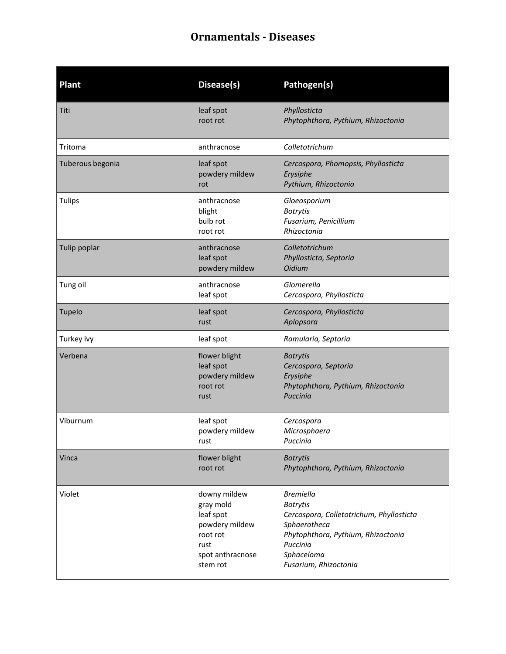| Plant            | Disease(s)                                                                                                   | Pathogen(s)                                                                                                                                                                              |
|------------------|--------------------------------------------------------------------------------------------------------------|------------------------------------------------------------------------------------------------------------------------------------------------------------------------------------------|
| Titi             | leaf spot<br>root rot                                                                                        | Phyllosticta<br>Phytophthora, Pythium, Rhizoctonia                                                                                                                                       |
| Tritoma          | anthracnose                                                                                                  | Colletotrichum                                                                                                                                                                           |
| Tuberous begonia | leaf spot<br>powdery mildew<br>rot                                                                           | Cercospora, Phomopsis, Phyllosticta<br>Erysiphe<br>Pythium, Rhizoctonia                                                                                                                  |
| <b>Tulips</b>    | anthracnose<br>blight<br>bulb rot<br>root rot                                                                | Gloeosporium<br><b>Botrytis</b><br>Fusarium, Penicillium<br>Rhizoctonia                                                                                                                  |
| Tulip poplar     | anthracnose<br>leaf spot<br>powdery mildew                                                                   | Colletotrichum<br>Phyllosticta, Septoria<br><b>Oidium</b>                                                                                                                                |
| Tung oil         | anthracnose<br>leaf spot                                                                                     | Glomerella<br>Cercospora, Phyllosticta                                                                                                                                                   |
| Tupelo           | leaf spot<br>rust                                                                                            | Cercospora, Phyllosticta<br>Aplopsora                                                                                                                                                    |
| Turkey ivy       | leaf spot                                                                                                    | Ramularia, Septoria                                                                                                                                                                      |
| Verbena          | flower blight<br>leaf spot<br>powdery mildew<br>root rot<br>rust                                             | <b>Botrytis</b><br>Cercospora, Septoria<br>Erysiphe<br>Phytophthora, Pythium, Rhizoctonia<br>Puccinia                                                                                    |
| Viburnum         | leaf spot<br>powdery mildew<br>rust                                                                          | Cercospora<br>Microsphaera<br>Puccinia                                                                                                                                                   |
| Vinca            | flower blight<br>root rot                                                                                    | <b>Botrytis</b><br>Phytophthora, Pythium, Rhizoctonia                                                                                                                                    |
| Violet           | downy mildew<br>gray mold<br>leaf spot<br>powdery mildew<br>root rot<br>rust<br>spot anthracnose<br>stem rot | <b>Bremiella</b><br><b>Botrytis</b><br>Cercospora, Colletotrichum, Phyllosticta<br>Sphaerotheca<br>Phytophthora, Pythium, Rhizoctonia<br>Puccinia<br>Sphaceloma<br>Fusarium, Rhizoctonia |